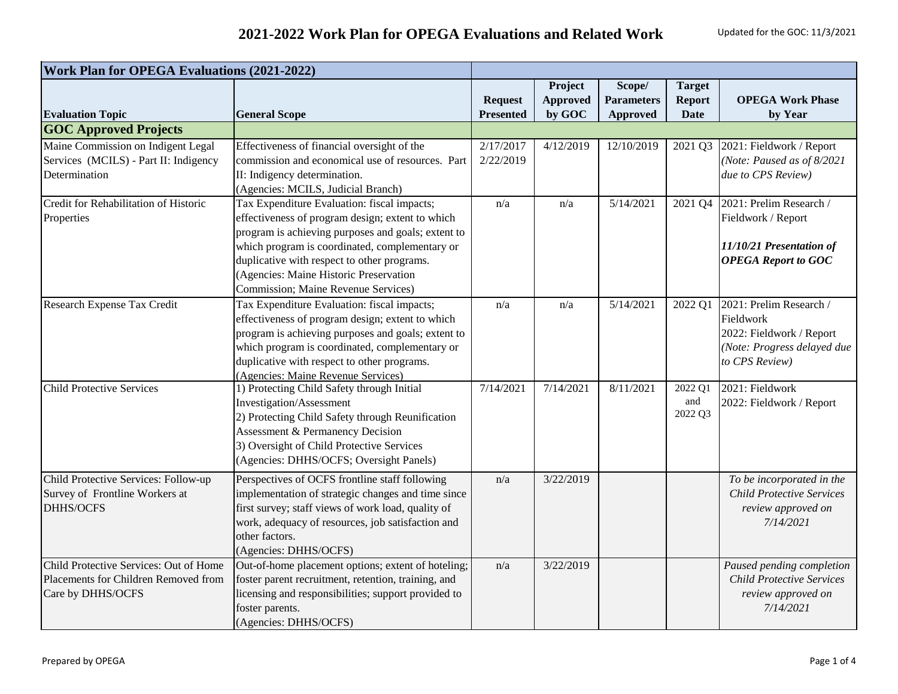| <b>Work Plan for OPEGA Evaluations (2021-2022)</b>                                                  |                                                                                                                                                                                                                                                                                                                                                 |                                    |                                      |                                                |                                               |                                                                                                                   |
|-----------------------------------------------------------------------------------------------------|-------------------------------------------------------------------------------------------------------------------------------------------------------------------------------------------------------------------------------------------------------------------------------------------------------------------------------------------------|------------------------------------|--------------------------------------|------------------------------------------------|-----------------------------------------------|-------------------------------------------------------------------------------------------------------------------|
| <b>Evaluation Topic</b>                                                                             | <b>General Scope</b>                                                                                                                                                                                                                                                                                                                            | <b>Request</b><br><b>Presented</b> | Project<br><b>Approved</b><br>by GOC | Scope/<br><b>Parameters</b><br><b>Approved</b> | <b>Target</b><br><b>Report</b><br><b>Date</b> | <b>OPEGA Work Phase</b><br>by Year                                                                                |
| <b>GOC Approved Projects</b>                                                                        |                                                                                                                                                                                                                                                                                                                                                 |                                    |                                      |                                                |                                               |                                                                                                                   |
| Maine Commission on Indigent Legal<br>Services (MCILS) - Part II: Indigency<br>Determination        | Effectiveness of financial oversight of the<br>commission and economical use of resources. Part<br>II: Indigency determination.<br>(Agencies: MCILS, Judicial Branch)                                                                                                                                                                           | 2/17/2017<br>2/22/2019             | 4/12/2019                            | 12/10/2019                                     | 2021 Q3                                       | 2021: Fieldwork / Report<br>(Note: Paused as of 8/2021<br>due to CPS Review)                                      |
| Credit for Rehabilitation of Historic<br>Properties                                                 | Tax Expenditure Evaluation: fiscal impacts;<br>effectiveness of program design; extent to which<br>program is achieving purposes and goals; extent to<br>which program is coordinated, complementary or<br>duplicative with respect to other programs.<br>(Agencies: Maine Historic Preservation<br><b>Commission</b> ; Maine Revenue Services) | n/a                                | n/a                                  | $\overline{5}/14/2021$                         | 2021 Q4                                       | 2021: Prelim Research /<br>Fieldwork / Report<br>11/10/21 Presentation of<br><b>OPEGA Report to GOC</b>           |
| Research Expense Tax Credit                                                                         | Tax Expenditure Evaluation: fiscal impacts;<br>effectiveness of program design; extent to which<br>program is achieving purposes and goals; extent to<br>which program is coordinated, complementary or<br>duplicative with respect to other programs.<br>(Agencies: Maine Revenue Services)                                                    | n/a                                | n/a                                  | 5/14/2021                                      | 2022 Q1                                       | 2021: Prelim Research /<br>Fieldwork<br>2022: Fieldwork / Report<br>(Note: Progress delayed due<br>to CPS Review) |
| <b>Child Protective Services</b>                                                                    | 1) Protecting Child Safety through Initial<br>Investigation/Assessment<br>2) Protecting Child Safety through Reunification<br>Assessment & Permanency Decision<br>3) Oversight of Child Protective Services<br>(Agencies: DHHS/OCFS; Oversight Panels)                                                                                          | 7/14/2021                          | 7/14/2021                            | 8/11/2021                                      | 2022 Q1<br>and<br>2022 Q3                     | 2021: Fieldwork<br>2022: Fieldwork / Report                                                                       |
| Child Protective Services: Follow-up<br>Survey of Frontline Workers at<br><b>DHHS/OCFS</b>          | Perspectives of OCFS frontline staff following<br>implementation of strategic changes and time since<br>first survey; staff views of work load, quality of<br>work, adequacy of resources, job satisfaction and<br>other factors.<br>(Agencies: DHHS/OCFS)                                                                                      | n/a                                | 3/22/2019                            |                                                |                                               | To be incorporated in the<br><b>Child Protective Services</b><br>review approved on<br>7/14/2021                  |
| Child Protective Services: Out of Home<br>Placements for Children Removed from<br>Care by DHHS/OCFS | Out-of-home placement options; extent of hoteling;<br>foster parent recruitment, retention, training, and<br>licensing and responsibilities; support provided to<br>foster parents.<br>(Agencies: DHHS/OCFS)                                                                                                                                    | n/a                                | 3/22/2019                            |                                                |                                               | Paused pending completion<br><b>Child Protective Services</b><br>review approved on<br>7/14/2021                  |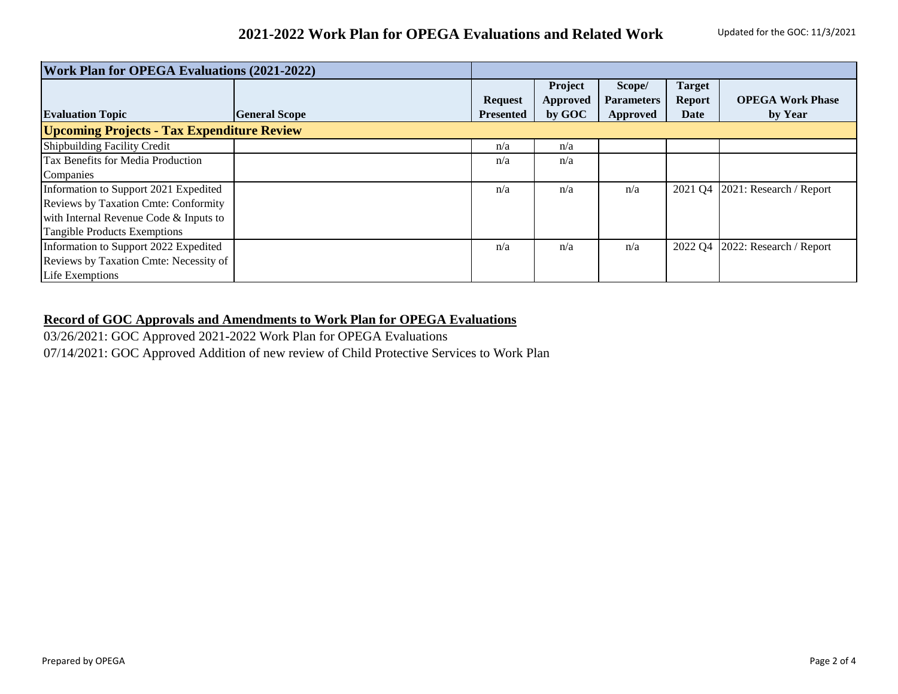| <b>Work Plan for OPEGA Evaluations (2021-2022)</b> |                      |                  |          |                   |               |                         |  |
|----------------------------------------------------|----------------------|------------------|----------|-------------------|---------------|-------------------------|--|
|                                                    |                      |                  | Project  | Scope/            | <b>Target</b> |                         |  |
|                                                    |                      | <b>Request</b>   | Approved | <b>Parameters</b> | <b>Report</b> | <b>OPEGA Work Phase</b> |  |
| <b>Evaluation Topic</b>                            | <b>General Scope</b> | <b>Presented</b> | by GOC   | Approved          | Date          | by Year                 |  |
| <b>Upcoming Projects - Tax Expenditure Review</b>  |                      |                  |          |                   |               |                         |  |
| <b>Shipbuilding Facility Credit</b>                |                      | n/a              | n/a      |                   |               |                         |  |
| Tax Benefits for Media Production                  |                      | n/a              | n/a      |                   |               |                         |  |
| Companies                                          |                      |                  |          |                   |               |                         |  |
| Information to Support 2021 Expedited              |                      | n/a              | n/a      | n/a               | 2021 Q4       | 2021: Research / Report |  |
| <b>Reviews by Taxation Cmte: Conformity</b>        |                      |                  |          |                   |               |                         |  |
| with Internal Revenue Code & Inputs to             |                      |                  |          |                   |               |                         |  |
| <b>Tangible Products Exemptions</b>                |                      |                  |          |                   |               |                         |  |
| Information to Support 2022 Expedited              |                      | n/a              | n/a      | n/a               | 2022 O4       | 2022: Research / Report |  |
| Reviews by Taxation Cmte: Necessity of             |                      |                  |          |                   |               |                         |  |
| Life Exemptions                                    |                      |                  |          |                   |               |                         |  |

## **Record of GOC Approvals and Amendments to Work Plan for OPEGA Evaluations**

03/26/2021: GOC Approved 2021-2022 Work Plan for OPEGA Evaluations 07/14/2021: GOC Approved Addition of new review of Child Protective Services to Work Plan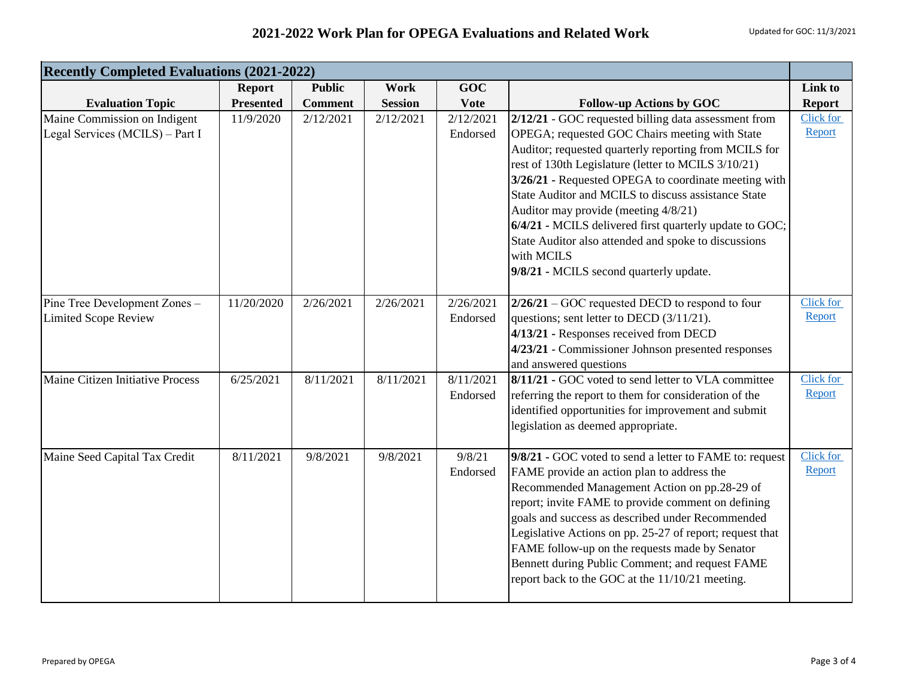## **2021-2022 Work Plan for OPEGA Evaluations and Related Work** Updated for GOC: 11/3/2021

| <b>Recently Completed Evaluations (2021-2022)</b>               |                  |                |                |                       |                                                                                                                                                                                                                                                                                                                                                                                                                                                                                                                                                           |                     |
|-----------------------------------------------------------------|------------------|----------------|----------------|-----------------------|-----------------------------------------------------------------------------------------------------------------------------------------------------------------------------------------------------------------------------------------------------------------------------------------------------------------------------------------------------------------------------------------------------------------------------------------------------------------------------------------------------------------------------------------------------------|---------------------|
|                                                                 | <b>Report</b>    | <b>Public</b>  | <b>Work</b>    | GOC                   |                                                                                                                                                                                                                                                                                                                                                                                                                                                                                                                                                           | Link to             |
| <b>Evaluation Topic</b>                                         | <b>Presented</b> | <b>Comment</b> | <b>Session</b> | <b>Vote</b>           | <b>Follow-up Actions by GOC</b>                                                                                                                                                                                                                                                                                                                                                                                                                                                                                                                           | <b>Report</b>       |
| Maine Commission on Indigent<br>Legal Services (MCILS) - Part I | 11/9/2020        | 2/12/2021      | 2/12/2021      | 2/12/2021<br>Endorsed | 2/12/21 - GOC requested billing data assessment from<br>OPEGA; requested GOC Chairs meeting with State<br>Auditor; requested quarterly reporting from MCILS for<br>rest of 130th Legislature (letter to MCILS 3/10/21)<br>3/26/21 - Requested OPEGA to coordinate meeting with<br>State Auditor and MCILS to discuss assistance State<br>Auditor may provide (meeting 4/8/21)<br>6/4/21 - MCILS delivered first quarterly update to GOC;<br>State Auditor also attended and spoke to discussions<br>with MCILS<br>9/8/21 - MCILS second quarterly update. | Click for<br>Report |
| Pine Tree Development Zones-<br><b>Limited Scope Review</b>     | 11/20/2020       | 2/26/2021      | 2/26/2021      | 2/26/2021<br>Endorsed | $2/26/21$ – GOC requested DECD to respond to four<br>questions; sent letter to DECD (3/11/21).<br>4/13/21 - Responses received from DECD<br>4/23/21 - Commissioner Johnson presented responses<br>and answered questions                                                                                                                                                                                                                                                                                                                                  | Click for<br>Report |
| Maine Citizen Initiative Process                                | 6/25/2021        | 8/11/2021      | 8/11/2021      | 8/11/2021<br>Endorsed | 8/11/21 - GOC voted to send letter to VLA committee<br>referring the report to them for consideration of the<br>identified opportunities for improvement and submit<br>legislation as deemed appropriate.                                                                                                                                                                                                                                                                                                                                                 | Click for<br>Report |
| Maine Seed Capital Tax Credit                                   | 8/11/2021        | 9/8/2021       | 9/8/2021       | 9/8/21<br>Endorsed    | 9/8/21 - GOC voted to send a letter to FAME to: request<br>FAME provide an action plan to address the<br>Recommended Management Action on pp.28-29 of<br>report; invite FAME to provide comment on defining<br>goals and success as described under Recommended<br>Legislative Actions on pp. 25-27 of report; request that<br>FAME follow-up on the requests made by Senator<br>Bennett during Public Comment; and request FAME<br>report back to the GOC at the 11/10/21 meeting.                                                                       | Click for<br>Report |